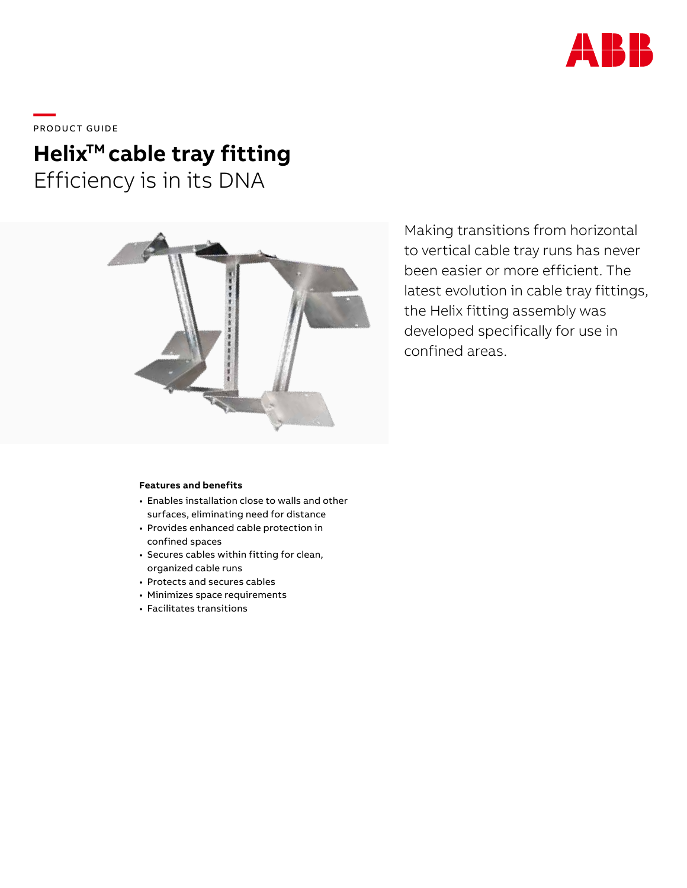

\_\_\_\_<br>PRODUCT GUIDE

# Helix<sup>™</sup> cable tray fitting Efficiency is in its DNA



Making transitions from horizontal to vertical cable tray runs has never been easier or more efficient. The latest evolution in cable tray fittings, the Helix fitting assembly was developed specifically for use in confined areas.

### **Features and benefits**

- Enables installation close to walls and other surfaces, eliminating need for distance
- Provides enhanced cable protection in confined spaces
- Secures cables within fitting for clean, organized cable runs
- Protects and secures cables
- Minimizes space requirements
- Facilitates transitions